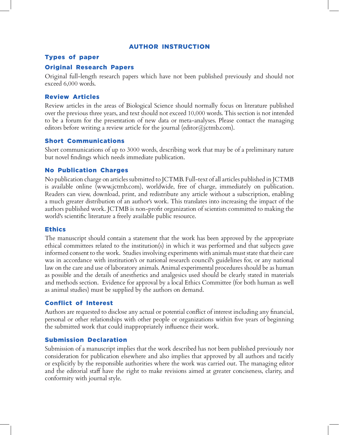#### AuTHor InsTrucTIon

#### Types of paper

# **Original Research Papers**

Original full-length research papers which have not been published previously and should not exceed 6,000 words.

# **Review Articles**

Review articles in the areas of Biological Science should normally focus on literature published over the previous three years, and text should not exceed 10,000 words. This section is not intended to be a forum for the presentation of new data or meta-analyses. Please contact the managing editors before writing a review article for the journal (editor@jctmb.com).

# short communications

Short communications of up to 3000 words, describing work that may be of a preliminary nature but novel findings which needs immediate publication.

# **No Publication Charges**

No publication charge on articles submitted to JCTMB. Full-text of all articles published in JCTMB is available online (www.jctmb.com), worldwide, free of charge, immediately on publication. Readers can view, download, print, and redistribute any article without a subscription, enabling a much greater distribution of an author's work. This translates into increasing the impact of the authors published work. JCTMB is non-profit organization of scientists committed to making the world's scientific literature a freely available public resource.

# **Ethics**

The manuscript should contain a statement that the work has been approved by the appropriate ethical committees related to the institution(s) in which it was performed and that subjects gave informed consent to the work. Studies involving experiments with animals must state that their care was in accordance with institution's or national research council's guidelines for, or any national law on the care and use of laboratory animals. Animal experimental procedures should be as human as possible and the details of anesthetics and analgesics used should be clearly stated in materials and methods section. Evidence for approval by a local Ethics Committee (for both human as well as animal studies) must be supplied by the authors on demand.

# conflict of Interest

Authors are requested to disclose any actual or potential conflict of interest including any financial, personal or other relationships with other people or organizations within five years of beginning the submitted work that could inappropriately influence their work.

# submission Declaration

Submission of a manuscript implies that the work described has not been published previously nor consideration for publication elsewhere and also implies that approved by all authors and tacitly or explicitly by the responsible authorities where the work was carried out. The managing editor and the editorial staff have the right to make revisions aimed at greater conciseness, clarity, and conformity with journal style.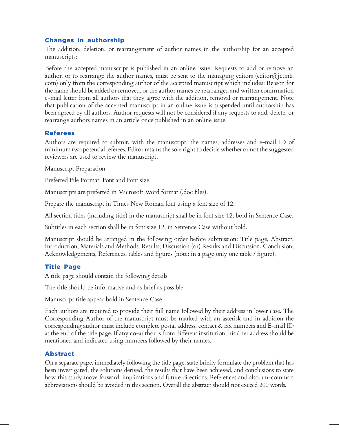# changes in authorship

The addition, deletion, or rearrangement of author names in the authorship for an accepted manuscripts:

Before the accepted manuscript is published in an online issue: Requests to add or remove an author, or to rearrange the author names, must be sent to the managing editors (editor@jctmb. com) only from the corresponding author of the accepted manuscript which includes: Reason for the name should be added or removed, or the author names be rearranged and written confirmation e-mail letter from all authors that they agree with the addition, removal or rearrangement. Note that publication of the accepted manuscript in an online issue is suspended until authorship has been agreed by all authors. Author requests will not be considered if any requests to add, delete, or rearrange authors names in an article once published in an online issue.

#### **Referees**

Authors are required to submit, with the manuscript, the names, addresses and e-mail ID of minimum two potential referees. Editor retains the sole right to decide whether or not the suggested reviewers are used to review the manuscript.

Manuscript Preparation

Preferred File Format, Font and Font size

Manuscripts are preferred in Microsoft Word format (.doc files).

Prepare the manuscript in Times New Roman font using a font size of 12.

All section titles (including title) in the manuscript shall be in font size 12, bold in Sentence Case.

Subtitles in each section shall be in font size 12, in Sentence Case without bold.

Manuscript should be arranged in the following order before submission: Title page, Abstract, Introduction, Materials and Methods, Results, Discussion (or) Results and Discussion, Conclusion, Acknowledgements, References, tables and figures (note: in a page only one table / figure).

# Title Page

A title page should contain the following details

The title should be informative and as brief as possible

Manuscript title appear bold in Sentence Case

Each authors are required to provide their full name followed by their address in lower case. The Corresponding Author of the manuscript must be marked with an asterisk and in addition the corresponding author must include complete postal address, contact & fax numbers and E-mail ID at the end of the title page. If any co-author is from different institution, his / her address should be mentioned and indicated using numbers followed by their names.

# Abstract

On a separate page, immediately following the title page, state briefly formulate the problem that has been investigated, the solutions derived, the results that have been achieved, and conclusions to state how this study move forward, implications and future directions. References and also, un-common abbreviations should be avoided in this section. Overall the abstract should not exceed 200 words.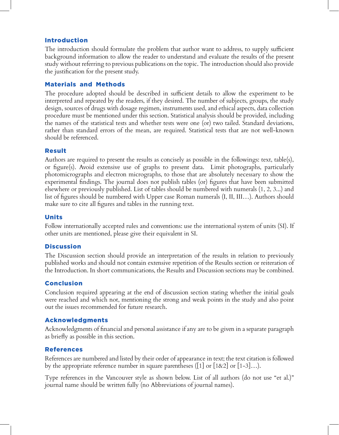# Introduction

The introduction should formulate the problem that author want to address, to supply sufficient background information to allow the reader to understand and evaluate the results of the present study without referring to previous publications on the topic. The introduction should also provide the justification for the present study.

### Materials and Methods

The procedure adopted should be described in sufficient details to allow the experiment to be interpreted and repeated by the readers, if they desired. The number of subjects, groups, the study design, sources of drugs with dosage regimen, instruments used, and ethical aspects, data collection procedure must be mentioned under this section. Statistical analysis should be provided, including the names of the statistical tests and whether tests were one (or) two tailed. Standard deviations, rather than standard errors of the mean, are required. Statistical tests that are not well-known should be referenced.

#### Result

Authors are required to present the results as concisely as possible in the followings: text, table(s), or figure(s). Avoid extensive use of graphs to present data. Limit photographs, particularly photomicrographs and electron micrographs, to those that are absolutely necessary to show the experimental findings. The journal does not publish tables (or) figures that have been submitted elsewhere or previously published. List of tables should be numbered with numerals (1, 2, 3...) and list of figures should be numbered with Upper case Roman numerals (I, II, III…). Authors should make sure to cite all figures and tables in the running text.

#### **Units**

Follow internationally accepted rules and conventions: use the international system of units (SI). If other units are mentioned, please give their equivalent in SI.

#### **Discussion**

The Discussion section should provide an interpretation of the results in relation to previously published works and should not contain extensive repetition of the Results section or reiteration of the Introduction. In short communications, the Results and Discussion sections may be combined.

# conclusion

Conclusion required appearing at the end of discussion section stating whether the initial goals were reached and which not, mentioning the strong and weak points in the study and also point out the issues recommended for future research.

# Acknowledgments

Acknowledgments of financial and personal assistance if any are to be given in a separate paragraph as briefly as possible in this section.

# **References**

References are numbered and listed by their order of appearance in text; the text citation is followed by the appropriate reference number in square parentheses ([1] or  $[1\&2]$  or  $[1-3]...$ ).

Type references in the Vancouver style as shown below. List of all authors (do not use "et al.)" journal name should be written fully (no Abbreviations of journal names).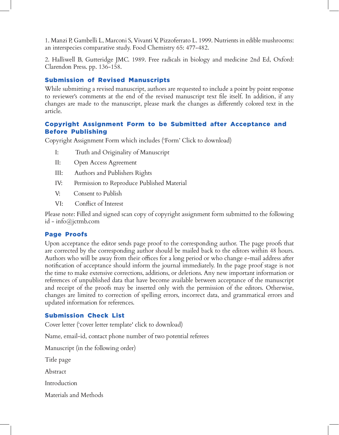1. Manzi P, Gambelli L, Marconi S, Vivanti V, Pizzoferrato L. 1999. Nutrients in edible mushrooms: an interspecies comparative study. Food Chemistry 65: 477-482.

2. Halliwell B, Gutteridge JMC. 1989. Free radicals in biology and medicine 2nd Ed, Oxford: Clarendon Press. pp. 136-158.

# **Submission of Revised Manuscripts**

While submitting a revised manuscript, authors are requested to include a point by point response to reviewer's comments at the end of the revised manuscript text file itself. In addition, if any changes are made to the manuscript, please mark the changes as differently colored text in the article.

### copyright Assignment Form to be submitted after Acceptance and Before Publishing

Copyright Assignment Form which includes ('Form' Click to download)

- I: Truth and Originality of Manuscript
- II: Open Access Agreement
- III: Authors and Publishers Rights
- IV: Permission to Reproduce Published Material
- V: Consent to Publish
- VI: Conflict of Interest

Please note: Filled and signed scan copy of copyright assignment form submitted to the following id - info@jctmb.com

# Page Proofs

Upon acceptance the editor sends page proof to the corresponding author. The page proofs that are corrected by the corresponding author should be mailed back to the editors within 48 hours. Authors who will be away from their offices for a long period or who change e-mail address after notification of acceptance should inform the journal immediately. In the page proof stage is not the time to make extensive corrections, additions, or deletions. Any new important information or references of unpublished data that have become available between acceptance of the manuscript and receipt of the proofs may be inserted only with the permission of the editors. Otherwise, changes are limited to correction of spelling errors, incorrect data, and grammatical errors and updated information for references.

# submission check List

Cover letter ('cover letter template' click to download)

Name, email-id, contact phone number of two potential referees

Manuscript (in the following order)

Title page

Abstract

Introduction

Materials and Methods